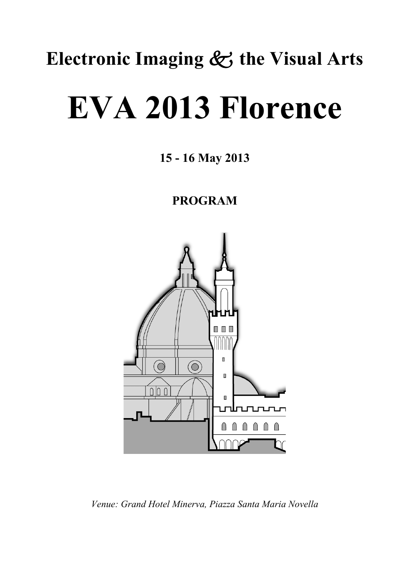## **Electronic Imaging** ! **the Visual Arts**

# **EVA 2013 Florence**

**15 - 16 May 2013**

**PROGRAM**



*Venue: Grand Hotel Minerva, Piazza Santa Maria Novella*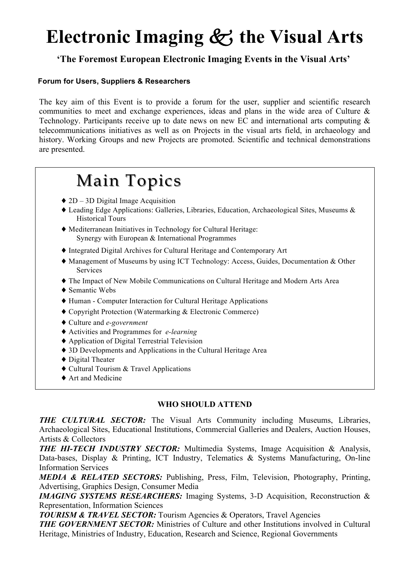## **Electronic Imaging** ! **the Visual Arts**

#### **'The Foremost European Electronic Imaging Events in the Visual Arts'**

#### **Forum for Users, Suppliers & Researchers**

The key aim of this Event is to provide a forum for the user, supplier and scientific research communities to meet and exchange experiences, ideas and plans in the wide area of Culture & Technology. Participants receive up to date news on new EC and international arts computing & telecommunications initiatives as well as on Projects in the visual arts field, in archaeology and history. Working Groups and new Projects are promoted. Scientific and technical demonstrations are presented.

## **Main Topics**

- ♦ 2D 3D Digital Image Acquisition
- ♦ Leading Edge Applications: Galleries, Libraries, Education, Archaeological Sites, Museums & Historical Tours
- ♦ Mediterranean Initiatives in Technology for Cultural Heritage: Synergy with European & International Programmes
- ♦ Integrated Digital Archives for Cultural Heritage and Contemporary Art
- ♦ Management of Museums by using ICT Technology: Access, Guides, Documentation & Other Services
- ♦ The Impact of New Mobile Communications on Cultural Heritage and Modern Arts Area
- ♦ Semantic Webs
- ♦ Human Computer Interaction for Cultural Heritage Applications
- ♦ Copyright Protection (Watermarking & Electronic Commerce)
- ♦ Culture and *e-government*
- ♦ Activities and Programmes for *e-learning*
- ♦ Application of Digital Terrestrial Television
- ♦ 3D Developments and Applications in the Cultural Heritage Area
- ♦ Digital Theater
- ♦ Cultural Tourism & Travel Applications
- ♦ Art and Medicine

#### **WHO SHOULD ATTEND**

*THE CULTURAL SECTOR:* The Visual Arts Community including Museums, Libraries, Archaeological Sites, Educational Institutions, Commercial Galleries and Dealers, Auction Houses, Artists & Collectors

*THE HI-TECH INDUSTRY SECTOR:* Multimedia Systems, Image Acquisition & Analysis, Data-bases, Display & Printing, ICT Industry, Telematics & Systems Manufacturing, On-line Information Services

*MEDIA & RELATED SECTORS:* Publishing, Press, Film, Television, Photography, Printing, Advertising, Graphics Design, Consumer Media

*IMAGING SYSTEMS RESEARCHERS:* Imaging Systems, 3-D Acquisition, Reconstruction & Representation, Information Sciences

*TOURISM & TRAVEL SECTOR:* Tourism Agencies & Operators, Travel Agencies

*THE GOVERNMENT SECTOR:* Ministries of Culture and other Institutions involved in Cultural Heritage, Ministries of Industry, Education, Research and Science, Regional Governments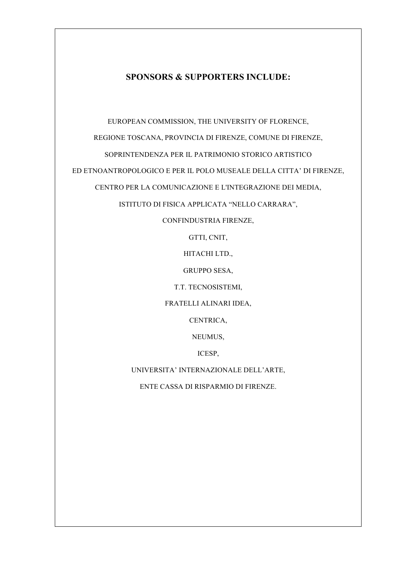#### **SPONSORS & SUPPORTERS INCLUDE:**

EUROPEAN COMMISSION, THE UNIVERSITY OF FLORENCE, REGIONE TOSCANA, PROVINCIA DI FIRENZE, COMUNE DI FIRENZE, SOPRINTENDENZA PER IL PATRIMONIO STORICO ARTISTICO ED ETNOANTROPOLOGICO E PER IL POLO MUSEALE DELLA CITTA' DI FIRENZE,

CENTRO PER LA COMUNICAZIONE E L'INTEGRAZIONE DEI MEDIA,

ISTITUTO DI FISICA APPLICATA "NELLO CARRARA",

CONFINDUSTRIA FIRENZE,

GTTI, CNIT,

HITACHI LTD.,

GRUPPO SESA,

T.T. TECNOSISTEMI,

FRATELLI ALINARI IDEA,

CENTRICA,

NEUMUS,

ICESP,

UNIVERSITA' INTERNAZIONALE DELL'ARTE,

ENTE CASSA DI RISPARMIO DI FIRENZE.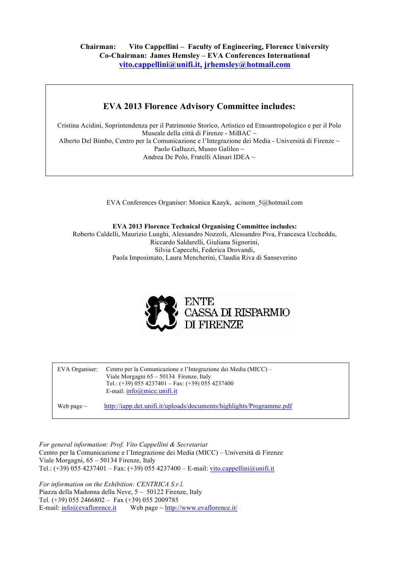**Chairman: Vito Cappellini – Faculty of Engineering, Florence University Co-Chairman: James Hemsley – EVA Conferences International vito.cappellini@unifi.it, jrhemsley@hotmail.com**

#### **EVA 2013 Florence Advisory Committee includes:**

Cristina Acidini, Soprintendenza per il Patrimonio Storico, Artistico ed Etnoantropologico e per il Polo Museale della città di Firenze - MiBAC ~ Alberto Del Bimbo, Centro per la Comunicazione e l'Integrazione dei Media - Università di Firenze  $\sim$ Paolo Galluzzi, Museo Galileo ~ Andrea De Polo, Fratelli Alinari IDEA ~

EVA Conferences Organiser: Monica Kaayk, acinom\_5@hotmail.com

**EVA 2013 Florence Technical Organising Committee includes:** Roberto Caldelli, Maurizio Lunghi, Alessandro Nozzoli, Alessandro Piva, Francesca Uccheddu, Riccardo Saldarelli, Giuliana Signorini, Silvia Capecchi, Federica Drovandi, Paola Imposimato, Laura Mencherini, Claudia Riva di Sanseverino



EVA Organiser: Centro per la Comunicazione e l'Integrazione dei Media (MICC) – Viale Morgagni 65 – 50134 Firenze, Italy Tel.: (+39) 055 4237401 – Fax: (+39) 055 4237400 E-mail: info@micc.unifi.it

Web page ~ http://iapp.det.unifi.it/uploads/documents/highlights/Programme.pdf

*For general information: Prof. Vito Cappellini & Secretariat* Centro per la Comunicazione e l'Integrazione dei Media (MICC) – Università di Firenze Viale Morgagni, 65 – 50134 Firenze, Italy Tel.: (+39) 055 4237401 – Fax: (+39) 055 4237400 – E-mail: vito.cappellini@unifi.it

*For information on the Exhibition: CENTRICA S.r.l.* Piazza della Madonna della Neve, 5 – 50122 Firenze, Italy Tel. (+39) 055 2466802 – Fax (+39) 055 2009785 E-mail:  $info@evallorence.it$  Web page ~ http://www.evaflorence.it/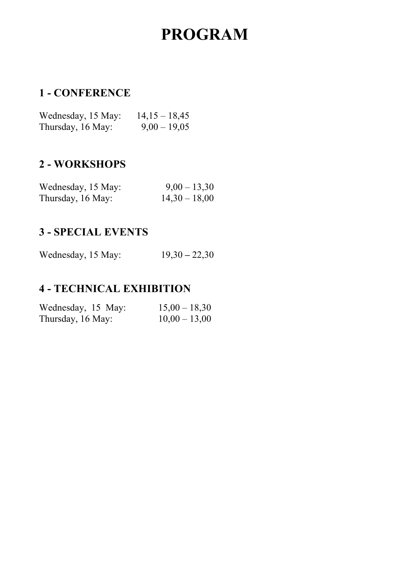## **PROGRAM**

## **1 - CONFERENCE**

| Wednesday, 15 May: | $14,15 - 18,45$ |
|--------------------|-----------------|
| Thursday, 16 May:  | $9,00 - 19,05$  |

## **2 - WORKSHOPS**

| Wednesday, 15 May: | $9,00 - 13,30$  |
|--------------------|-----------------|
| Thursday, 16 May:  | $14,30 - 18,00$ |

### **3 - SPECIAL EVENTS**

| Wednesday, 15 May: | $19,30 - 22,30$ |
|--------------------|-----------------|
|                    |                 |

### **4 - TECHNICAL EXHIBITION**

| Wednesday, 15 May: | $15,00 - 18,30$ |
|--------------------|-----------------|
| Thursday, 16 May:  | $10,00 - 13,00$ |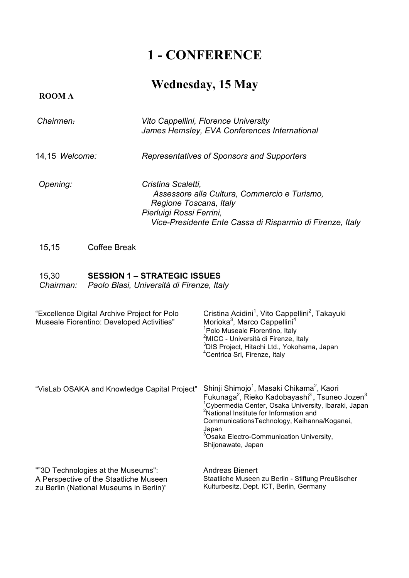## **1 - CONFERENCE**

## **Wednesday, 15 May**

| Chairmen:      | Vito Cappellini, Florence University<br>James Hemsley, EVA Conferences International                                                                                                  |
|----------------|---------------------------------------------------------------------------------------------------------------------------------------------------------------------------------------|
| 14,15 Welcome: | Representatives of Sponsors and Supporters                                                                                                                                            |
| Opening:       | Cristina Scaletti,<br>Assessore alla Cultura, Commercio e Turismo,<br>Regione Toscana, Italy<br>Pierluigi Rossi Ferrini,<br>Vice-Presidente Ente Cassa di Risparmio di Firenze, Italy |

#### 15,15 Coffee Break

**ROOM A**

#### 15,30 **SESSION 1 – STRATEGIC ISSUES**

*Chairman: Paolo Blasi, Università di Firenze, Italy*

| "Excellence Digital Archive Project for Polo<br>Museale Fiorentino: Developed Activities"                               | Cristina Acidini <sup>1</sup> , Vito Cappellini <sup>2</sup> , Takayuki<br>Morioka <sup>3</sup> , Marco Cappellini <sup>4</sup><br><sup>1</sup> Polo Museale Fiorentino, Italy<br><sup>2</sup> MICC - Università di Firenze, Italy<br><sup>3</sup> DIS Project, Hitachi Ltd., Yokohama, Japan<br><sup>4</sup> Centrica Srl, Firenze, Italy                                                                               |
|-------------------------------------------------------------------------------------------------------------------------|--------------------------------------------------------------------------------------------------------------------------------------------------------------------------------------------------------------------------------------------------------------------------------------------------------------------------------------------------------------------------------------------------------------------------|
| "VisLab OSAKA and Knowledge Capital Project"                                                                            | Shinji Shimojo <sup>1</sup> , Masaki Chikama <sup>2</sup> , Kaori<br>Fukunaga <sup>2</sup> , Rieko Kadobayashi <sup>3</sup> , Tsuneo Jozen <sup>3</sup><br><sup>1</sup> Cybermedia Center, Osaka University, Ibaraki, Japan<br><sup>2</sup> National Institute for Information and<br>CommunicationsTechnology, Keihanna/Koganei,<br>Japan<br><sup>3</sup> Osaka Electro-Communication University,<br>Shijonawate, Japan |
| ""3D Technologies at the Museums":<br>A Perspective of the Staatliche Museen<br>zu Berlin (National Museums in Berlin)" | <b>Andreas Bienert</b><br>Staatliche Museen zu Berlin - Stiftung Preußischer<br>Kulturbesitz, Dept. ICT, Berlin, Germany                                                                                                                                                                                                                                                                                                 |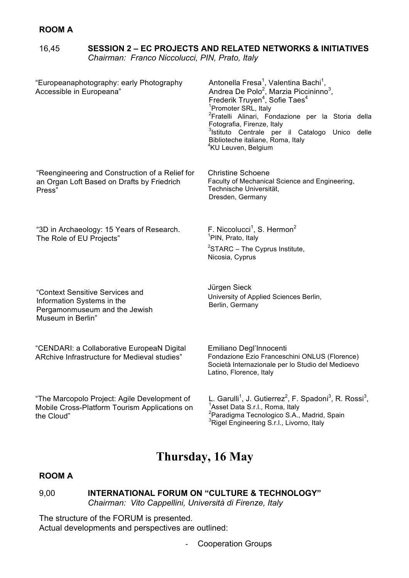| 16,45 | <b>SESSION 2 – EC PROJECTS AND RELATED NETWORKS &amp; INITIATIVES</b> |
|-------|-----------------------------------------------------------------------|
|       | Chairman: Franco Niccolucci, PIN, Prato, Italy                        |

| "Europeanaphotography: early Photography<br>Accessible in Europeana"                                                | Antonella Fresa <sup>1</sup> , Valentina Bachi <sup>1</sup> ,<br>Andrea De Polo <sup>2</sup> , Marzia Piccininno <sup>3</sup> ,<br>Frederik Truyen <sup>4</sup> , Sofie Taes <sup>4</sup><br><sup>1</sup> Promoter SRL, Italy<br><sup>2</sup> Fratelli Alinari, Fondazione per la Storia della<br>Fotografia, Firenze, Italy<br><sup>3</sup> Istituto Centrale per il Catalogo Unico delle<br>Biblioteche italiane, Roma, Italy<br><sup>4</sup> KU Leuven, Belgium |
|---------------------------------------------------------------------------------------------------------------------|--------------------------------------------------------------------------------------------------------------------------------------------------------------------------------------------------------------------------------------------------------------------------------------------------------------------------------------------------------------------------------------------------------------------------------------------------------------------|
| "Reengineering and Construction of a Relief for<br>an Organ Loft Based on Drafts by Friedrich<br>Press"             | <b>Christine Schoene</b><br>Faculty of Mechanical Science and Engineering,<br>Technische Universität,<br>Dresden, Germany                                                                                                                                                                                                                                                                                                                                          |
| "3D in Archaeology: 15 Years of Research.<br>The Role of EU Projects"                                               | F. Niccolucci <sup>1</sup> , S. Hermon <sup>2</sup><br><sup>1</sup> PIN, Prato, Italy<br>${}^{2}$ STARC – The Cyprus Institute,<br>Nicosia, Cyprus                                                                                                                                                                                                                                                                                                                 |
| "Context Sensitive Services and<br>Information Systems in the<br>Pergamonmuseum and the Jewish<br>Museum in Berlin" | Jürgen Sieck<br>University of Applied Sciences Berlin,<br>Berlin, Germany                                                                                                                                                                                                                                                                                                                                                                                          |
| "CENDARI: a Collaborative EuropeaN Digital<br>ARchive Infrastructure for Medieval studies"                          | Emiliano Degl'Innocenti<br>Fondazione Ezio Franceschini ONLUS (Florence)<br>Società Internazionale per lo Studio del Medioevo<br>Latino, Florence, Italy                                                                                                                                                                                                                                                                                                           |
| "The Marcopolo Project: Agile Development of<br>Mobile Cross-Platform Tourism Applications on<br>the Cloud"         | L. Garulli <sup>1</sup> , J. Gutierrez <sup>2</sup> , F. Spadoni <sup>3</sup> , R. Rossi <sup>3</sup> ,<br><sup>1</sup> Asset Data S.r.l., Roma, Italy<br><sup>2</sup> Paradigma Tecnologico S.A., Madrid, Spain<br><sup>3</sup> Rigel Engineering S.r.l., Livorno, Italy                                                                                                                                                                                          |

## **Thursday, 16 May**

#### **ROOM A**

9,00 **INTERNATIONAL FORUM ON "CULTURE & TECHNOLOGY"** *Chairman: Vito Cappellini, Università di Firenze, Italy*

The structure of the FORUM is presented. Actual developments and perspectives are outlined:

- Cooperation Groups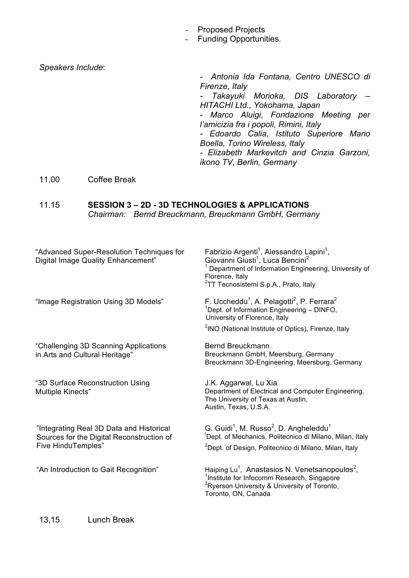- Proposed Projects
- Funding Opportunities.

*Speakers Include*:

*- Antonia Ida Fontana, Centro UNESCO di Firenze, Italy - Takayuki Morioka, DIS Laboratory – HITACHI Ltd., Yokohama, Japan - Marco Aluigi, Fondazione Meeting per l'amicizia fra i popoli, Rimini, Italy - Edoardo Calia, Istituto Superiore Mario Boella, Torino Wireless, Italy - Elizabeth Markevitch and Cinzia Garzoni, ikono TV, Berlin, Germany*

11,00 Coffee Break

| 11.15 | <b>SESSION 3 - 2D - 3D TECHNOLOGIES &amp; APPLICATIONS</b> |                                                      |  |
|-------|------------------------------------------------------------|------------------------------------------------------|--|
|       |                                                            | Chairman: Bernd Breuckmann, Breuckmann GmbH, Germany |  |

| "Advanced Super-Resolution Techniques for<br>Digital Image Quality Enhancement"                             | Fabrizio Argenti <sup>1</sup> , Alessandro Lapini <sup>1</sup> ,<br>Giovanni Giusti <sup>1</sup> , Luca Bencini <sup>2</sup><br><sup>1</sup> Department of Information Engineering, University of<br>Florence, Italy<br><sup>2</sup> TT Tecnosistemi S.p.A., Prato, Italy |
|-------------------------------------------------------------------------------------------------------------|---------------------------------------------------------------------------------------------------------------------------------------------------------------------------------------------------------------------------------------------------------------------------|
| "Image Registration Using 3D Models"                                                                        | F. Uccheddu <sup>1</sup> , A. Pelagotti <sup>2</sup> , P. Ferrara <sup>2</sup><br><sup>1</sup> Dept. of Information Engineering - DINFO,<br>University of Florence, Italy<br><sup>2</sup> INO (National Institute of Optics), Firenze, Italy                              |
| "Challenging 3D Scanning Applications<br>in Arts and Cultural Heritage"                                     | Bernd Breuckmann<br>Breuckmann GmbH, Meersburg, Germany<br>Breuckmann 3D-Engineering, Meersburg, Germany                                                                                                                                                                  |
| "3D Surface Reconstruction Using<br>Multiple Kinects"                                                       | J.K. Aggarwal, Lu Xia<br>Department of Electrical and Computer Engineering,<br>The University of Texas at Austin,<br>Austin, Texas, U.S.A.                                                                                                                                |
| "Integrating Real 3D Data and Historical<br>Sources for the Digital Reconstruction of<br>Five HinduTemples" | G. Guidi <sup>1</sup> , M. Russo <sup>2</sup> , D. Angheleddu <sup>1</sup><br>Dept. of Mechanics, Politecnico di Milano, Milan, Italy<br><sup>2</sup> Dept. of Design, Politecnico di Milano, Milan, Italy                                                                |
| "An Introduction to Gait Recognition"                                                                       | Haiping Lu <sup>1</sup> , Anastasios N. Venetsanopoulos <sup>2</sup> ,<br><sup>1</sup> Institute for Infocomm Research, Singapore<br><sup>2</sup> Ryerson University & University of Toronto,<br>Toronto, ON, Canada                                                      |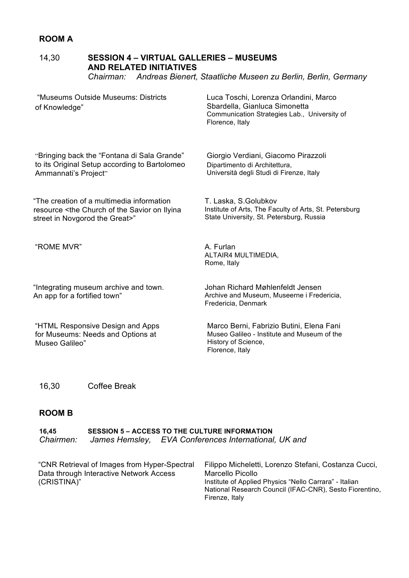#### 14,30 **SESSION 4 – VIRTUAL GALLERIES – MUSEUMS AND RELATED INITIATIVES**

*Chairman: Andreas Bienert, Staatliche Museen zu Berlin, Berlin, Germany*

"Museums Outside Museums: Districts of Knowledge"

Luca Toschi, Lorenza Orlandini, Marco Sbardella, Gianluca Simonetta Communication Strategies Lab., University of Florence, Italy

"Bringing back the "Fontana di Sala Grande" to its Original Setup according to Bartolomeo Ammannati's Project"

"The creation of a multimedia information resource <the Church of the Savior on Ilyina street in Novgorod the Great>"

"ROME MVR" A. Furlan

"Integrating museum archive and town. An app for a fortified town"

"HTML Responsive Design and Apps for Museums: Needs and Options at Museo Galileo"

Giorgio Verdiani, Giacomo Pirazzoli Dipartimento di Architettura, Università degli Studi di Firenze, Italy

T. Laska, S.Golubkov Institute of Arts, The Faculty of Arts, St. Petersburg State University, St. Petersburg, Russia

ALTAIR4 MULTIMEDIA, Rome, Italy

Johan Richard Møhlenfeldt Jensen Archive and Museum, Museerne i Fredericia, Fredericia, Denmark

Marco Berni, Fabrizio Butini, Elena Fani Museo Galileo - Institute and Museum of the History of Science, Florence, Italy

16,30 Coffee Break

#### **ROOM B**

| 16,45     |                | <b>SESSION 5 – ACCESS TO THE CULTURE INFORMATION</b> |
|-----------|----------------|------------------------------------------------------|
| Chairmen: | James Hemsley, | EVA Conferences International, UK and                |

| "CNR Retrieval of Images from Hyper-Spectral<br>Data through Interactive Network Access<br>(CRISTINA)" | Filippo Micheletti, Lorenzo Stefani, Costanza Cucci,<br>Marcello Picollo<br>Institute of Applied Physics "Nello Carrara" - Italian<br>National Research Council (IFAC-CNR), Sesto Fiorentino,<br>Firenze, Italy |
|--------------------------------------------------------------------------------------------------------|-----------------------------------------------------------------------------------------------------------------------------------------------------------------------------------------------------------------|
|--------------------------------------------------------------------------------------------------------|-----------------------------------------------------------------------------------------------------------------------------------------------------------------------------------------------------------------|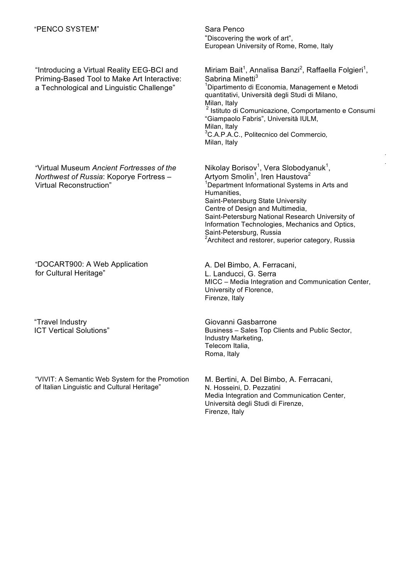|  | "PENCO SYSTEM" |
|--|----------------|
|--|----------------|

"Introducing a Virtual Reality EEG-BCI and Priming-Based Tool to Make Art Interactive: a Technological and Linguistic Challenge"

"Virtual Museum *Ancient Fortresses of the Northwest of Russia*: Koporye Fortress – Virtual Reconstruction"

"DOCART900: A Web Application for Cultural Heritage"

"Travel Industry ICT Vertical Solutions"

"VIVIT: A Semantic Web System for the Promotion of Italian Linguistic and Cultural Heritage"

Sara Penco "Discovering the work of art", European University of Rome, Rome, Italy

Miriam Bait<sup>1</sup>, Annalisa Banzi<sup>2</sup>, Raffaella Folgieri<sup>1</sup>, Sabrina Minetti<sup>3</sup> <sup>1</sup>Dipartimento di Economia, Management e Metodi quantitativi, Università degli Studi di Milano, Milan, Italy<br><sup>2</sup> Istituto di Comunicazione, Comportamento e Consumi "Giampaolo Fabris", Università IULM, Milan, Italy 3 C.A.P.A.C., Politecnico del Commercio*,* 

Milan, Italy

Nikolay Borisov<sup>1</sup>, Vera Slobodyanuk<sup>1</sup>, Artyom Smolin<sup>1</sup>, Iren Haustova<sup>2</sup> <sup>1</sup>Department Informational Systems in Arts and Humanities, Saint-Petersburg State University Centre of Design and Multimedia, Saint-Petersburg National Research University of Information Technologies, Mechanics and Optics, Saint-Petersburg, Russia <sup>2</sup> <sup>2</sup> Architect and restorer, superior category, Russia

A. Del Bimbo, A. Ferracani, L. Landucci, G. Serra MICC – Media Integration and Communication Center, University of Florence, Firenze, Italy

Giovanni Gasbarrone Business – Sales Top Clients and Public Sector, Industry Marketing, Telecom Italia, Roma, Italy

M. Bertini, A. Del Bimbo, A. Ferracani, N. Hosseini, D. Pezzatini Media Integration and Communication Center, Università degli Studi di Firenze, Firenze, Italy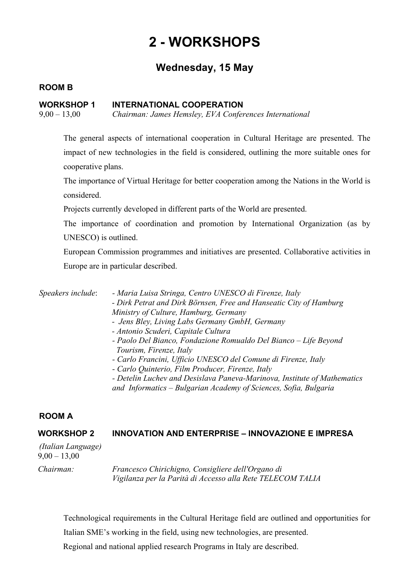## **2 - WORKSHOPS**

### **Wednesday, 15 May**

#### **ROOM B**

#### **WORKSHOP 1 INTERNATIONAL COOPERATION**

9,00 – 13,00 *Chairman: James Hemsley, EVA Conferences International*

The general aspects of international cooperation in Cultural Heritage are presented. The impact of new technologies in the field is considered, outlining the more suitable ones for cooperative plans.

The importance of Virtual Heritage for better cooperation among the Nations in the World is considered.

Projects currently developed in different parts of the World are presented.

The importance of coordination and promotion by International Organization (as by UNESCO) is outlined.

European Commission programmes and initiatives are presented. Collaborative activities in Europe are in particular described.

*Speakers include*: *- Maria Luisa Stringa, Centro UNESCO di Firenze, Italy*

- *- Dirk Petrat and Dirk Börnsen, Free and Hanseatic City of Hamburg Ministry of Culture, Hamburg, Germany*
- *- Jens Bley, Living Labs Germany GmbH, Germany*
- *- Antonio Scuderi, Capitale Cultura*
- *- Paolo Del Bianco, Fondazione Romualdo Del Bianco – Life Beyond Tourism, Firenze, Italy*
- *- Carlo Francini, Ufficio UNESCO del Comune di Firenze, Italy*
- *- Carlo Quinterio, Film Producer, Firenze, Italy*

*- Detelin Luchev and Desislava Paneva-Marinova, Institute of Mathematics and Informatics – Bulgarian Academy of Sciences, Sofia, Bulgaria*

#### **ROOM A**

#### **WORKSHOP 2 INNOVATION AND ENTERPRISE – INNOVAZIONE E IMPRESA**

*(Italian Language)*  $9,00 - 13,00$ 

*Chairman: Francesco Chirichigno, Consigliere dell'Organo di Vigilanza per la Parità di Accesso alla Rete TELECOM TALIA*

Technological requirements in the Cultural Heritage field are outlined and opportunities for

Italian SME's working in the field, using new technologies, are presented.

Regional and national applied research Programs in Italy are described.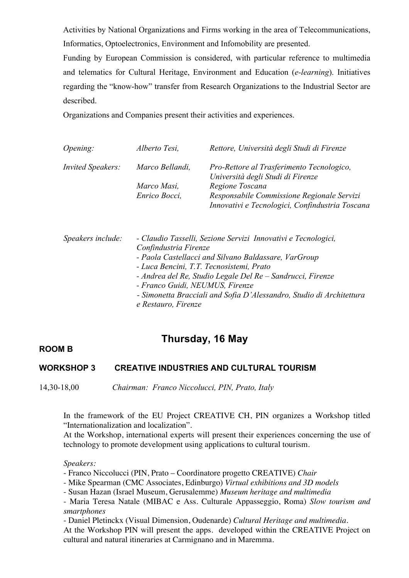Activities by National Organizations and Firms working in the area of Telecommunications, Informatics, Optoelectronics, Environment and Infomobility are presented.

Funding by European Commission is considered, with particular reference to multimedia and telematics for Cultural Heritage, Environment and Education (*e-learning*). Initiatives regarding the "know-how" transfer from Research Organizations to the Industrial Sector are described.

Organizations and Companies present their activities and experiences.

| <i>Opening:</i>          | Alberto Tesi,                                                                                                                                                                                                                                                                                                                                                                              | Rettore, Università degli Studi di Firenze                                                    |
|--------------------------|--------------------------------------------------------------------------------------------------------------------------------------------------------------------------------------------------------------------------------------------------------------------------------------------------------------------------------------------------------------------------------------------|-----------------------------------------------------------------------------------------------|
| <b>Invited Speakers:</b> | Marco Bellandi,                                                                                                                                                                                                                                                                                                                                                                            | Pro-Rettore al Trasferimento Tecnologico,<br>Università degli Studi di Firenze                |
|                          | Marco Masi,                                                                                                                                                                                                                                                                                                                                                                                | Regione Toscana                                                                               |
|                          | Enrico Bocci,                                                                                                                                                                                                                                                                                                                                                                              | Responsabile Commissione Regionale Servizi<br>Innovativi e Tecnologici, Confindustria Toscana |
| Speakers include:        | - Claudio Tasselli, Sezione Servizi Innovativi e Tecnologici,<br>Confindustria Firenze<br>- Paola Castellacci and Silvano Baldassare, VarGroup<br>- Luca Bencini, T.T. Tecnosistemi, Prato<br>- Andrea del Re, Studio Legale Del Re – Sandrucci, Firenze<br>- Franco Guidi, NEUMUS, Firenze<br>- Simonetta Bracciali and Sofia D'Alessandro, Studio di Architettura<br>e Restauro, Firenze |                                                                                               |

### **Thursday, 16 May**

#### **ROOM B**

#### **WORKSHOP 3 CREATIVE INDUSTRIES AND CULTURAL TOURISM**

14,30-18,00 *Chairman: Franco Niccolucci, PIN, Prato, Italy*

In the framework of the EU Project CREATIVE CH, PIN organizes a Workshop titled "Internationalization and localization".

At the Workshop, international experts will present their experiences concerning the use of technology to promote development using applications to cultural tourism.

#### *Speakers:*

- Franco Niccolucci (PIN, Prato – Coordinatore progetto CREATIVE) *Chair*

- Mike Spearman (CMC Associates, Edinburgo) *Virtual exhibitions and 3D models*

- Susan Hazan (Israel Museum, Gerusalemme) *Museum heritage and multimedia*

- Maria Teresa Natale (MIBAC e Ass. Culturale Appasseggio, Roma) *Slow tourism and smartphones*

- Daniel Pletinckx (Visual Dimension, Oudenarde) *Cultural Heritage and multimedia.*

At the Workshop PIN will present the apps. developed within the CREATIVE Project on cultural and natural itineraries at Carmignano and in Maremma.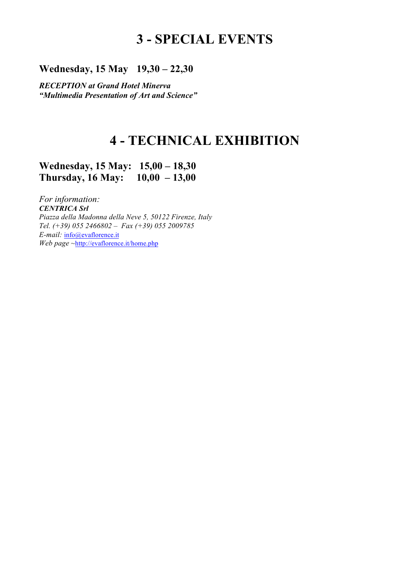## **3 - SPECIAL EVENTS**

**Wednesday, 15 May 19,30 – 22,30**

*RECEPTION at Grand Hotel Minerva "Multimedia Presentation of Art and Science"* 

## **4 - TECHNICAL EXHIBITION**

### **Wednesday, 15 May: 15,00 – 18,30 Thursday, 16 May: 10,00 – 13,00**

*For information: CENTRICA Srl Piazza della Madonna della Neve 5, 50122 Firenze, Italy Tel. (+39) 055 2466802 – Fax (+39) 055 2009785 E-mail:* info@evaflorence.it *Web page ~*http://evaflorence.it/home.php